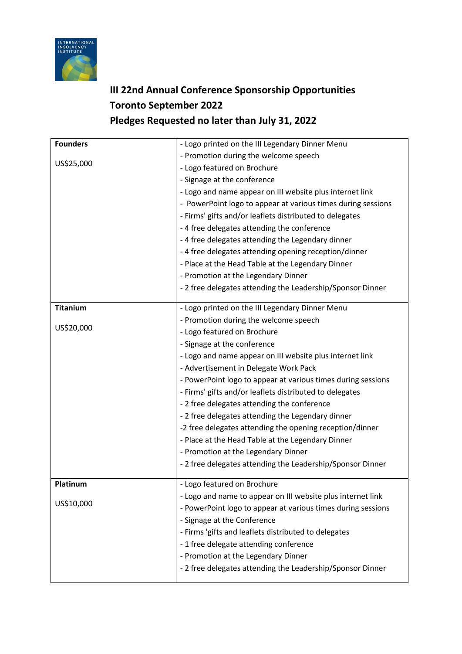

## **III 22nd Annual Conference Sponsorship Opportunities Toronto September 2022 Pledges Requested no later than July 31, 2022**

| <b>Founders</b> | - Logo printed on the III Legendary Dinner Menu              |
|-----------------|--------------------------------------------------------------|
| US\$25,000      | - Promotion during the welcome speech                        |
|                 | - Logo featured on Brochure                                  |
|                 | - Signage at the conference                                  |
|                 | - Logo and name appear on III website plus internet link     |
|                 | - PowerPoint logo to appear at various times during sessions |
|                 | - Firms' gifts and/or leaflets distributed to delegates      |
|                 | - 4 free delegates attending the conference                  |
|                 | -4 free delegates attending the Legendary dinner             |
|                 | - 4 free delegates attending opening reception/dinner        |
|                 | - Place at the Head Table at the Legendary Dinner            |
|                 | - Promotion at the Legendary Dinner                          |
|                 | - 2 free delegates attending the Leadership/Sponsor Dinner   |
| <b>Titanium</b> | - Logo printed on the III Legendary Dinner Menu              |
| US\$20,000      | - Promotion during the welcome speech                        |
|                 | - Logo featured on Brochure                                  |
|                 | - Signage at the conference                                  |
|                 | - Logo and name appear on III website plus internet link     |
|                 | - Advertisement in Delegate Work Pack                        |
|                 | - PowerPoint logo to appear at various times during sessions |
|                 | - Firms' gifts and/or leaflets distributed to delegates      |
|                 | - 2 free delegates attending the conference                  |
|                 | - 2 free delegates attending the Legendary dinner            |
|                 | -2 free delegates attending the opening reception/dinner     |
|                 | - Place at the Head Table at the Legendary Dinner            |
|                 | - Promotion at the Legendary Dinner                          |
|                 | - 2 free delegates attending the Leadership/Sponsor Dinner   |
| Platinum        | - Logo featured on Brochure                                  |
|                 | - Logo and name to appear on III website plus internet link  |
| US\$10,000      | - PowerPoint logo to appear at various times during sessions |
|                 | - Signage at the Conference                                  |
|                 | - Firms 'gifts and leaflets distributed to delegates         |
|                 | -1 free delegate attending conference                        |
|                 | - Promotion at the Legendary Dinner                          |
|                 | - 2 free delegates attending the Leadership/Sponsor Dinner   |
|                 |                                                              |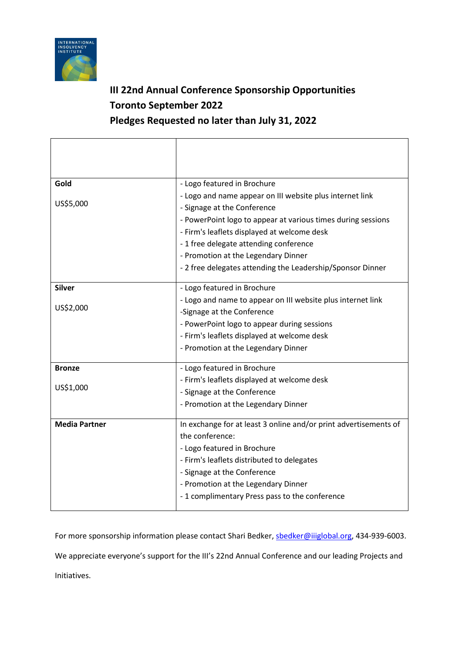

## **III 22nd Annual Conference Sponsorship Opportunities Toronto September 2022 Pledges Requested no later than July 31, 2022**

| Gold                 | - Logo featured in Brochure                                      |
|----------------------|------------------------------------------------------------------|
| US\$5,000            | - Logo and name appear on III website plus internet link         |
|                      | - Signage at the Conference                                      |
|                      | - PowerPoint logo to appear at various times during sessions     |
|                      | - Firm's leaflets displayed at welcome desk                      |
|                      | -1 free delegate attending conference                            |
|                      | - Promotion at the Legendary Dinner                              |
|                      | - 2 free delegates attending the Leadership/Sponsor Dinner       |
| <b>Silver</b>        | - Logo featured in Brochure                                      |
| US\$2,000            | - Logo and name to appear on III website plus internet link      |
|                      | -Signage at the Conference                                       |
|                      | - PowerPoint logo to appear during sessions                      |
|                      | - Firm's leaflets displayed at welcome desk                      |
|                      | - Promotion at the Legendary Dinner                              |
| <b>Bronze</b>        | - Logo featured in Brochure                                      |
| US\$1,000            | - Firm's leaflets displayed at welcome desk                      |
|                      | - Signage at the Conference                                      |
|                      | - Promotion at the Legendary Dinner                              |
| <b>Media Partner</b> | In exchange for at least 3 online and/or print advertisements of |
|                      | the conference:                                                  |
|                      | - Logo featured in Brochure                                      |
|                      | - Firm's leaflets distributed to delegates                       |
|                      | - Signage at the Conference                                      |
|                      | - Promotion at the Legendary Dinner                              |
|                      | - 1 complimentary Press pass to the conference                   |

For more sponsorship information please contact Shari Bedker, shedker@iiiglobal.org, 434-939-6003.

We appreciate everyone's support for the III's 22nd Annual Conference and our leading Projects and

Initiatives.